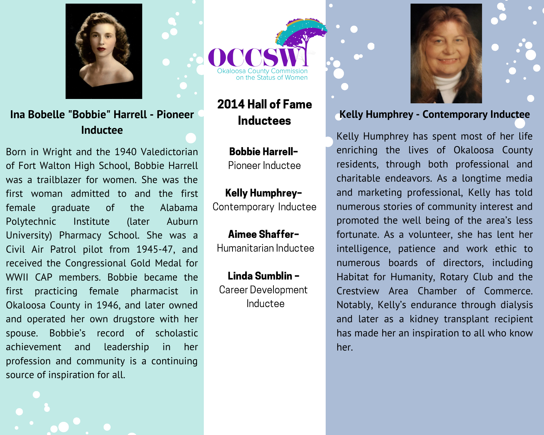

## Ina Bobelle "Bobbie" Harrell - Pioneer Inductee

Born in Wright and the 1940 Valedictorian of Fort Walton High School, Bobbie Harrell was a trailblazer for women. She was the first woman admitted to and the first female graduate <sub>of</sub> the Alabama Institute Polytechnic (later Auburn University) Pharmacy School. She was a Civil Air Patrol pilot from 1945-47, and received the Congressional Gold Medal for WWII CAP members. Bobbie became the practicing female pharmacist in first Okaloosa County in 1946, and later owned and operated her own drugstore with her spouse. Bobbie's record of scholastic achievement and leadership in her profession and community is a continuing source of inspiration for all.

# 2014 Hall of Fame **Inductees**

**Bobbie Harrell-**Pioneer Inductee

#### Kelly Humphrey-Contemporary Inductee

Aimee Shaffer-Humanitarian Inductee

Linda Sumblin -**Career Development** Inductee



### **Kelly Humphrey - Contemporary Inductee**

Kelly Humphrey has spent most of her life enriching the lives of Okaloosa County residents, through both professional and charitable endeavors. As a longtime media and marketing professional, Kelly has told numerous stories of community interest and promoted the well being of the area's less fortunate. As a volunteer, she has lent her intelligence, patience and work ethic to numerous boards of directors, including Habitat for Humanity, Rotary Club and the Crestview Area Chamber of Commerce. Notably, Kelly's endurance through dialysis and later as a kidney transplant recipient has made her an inspiration to all who know her.